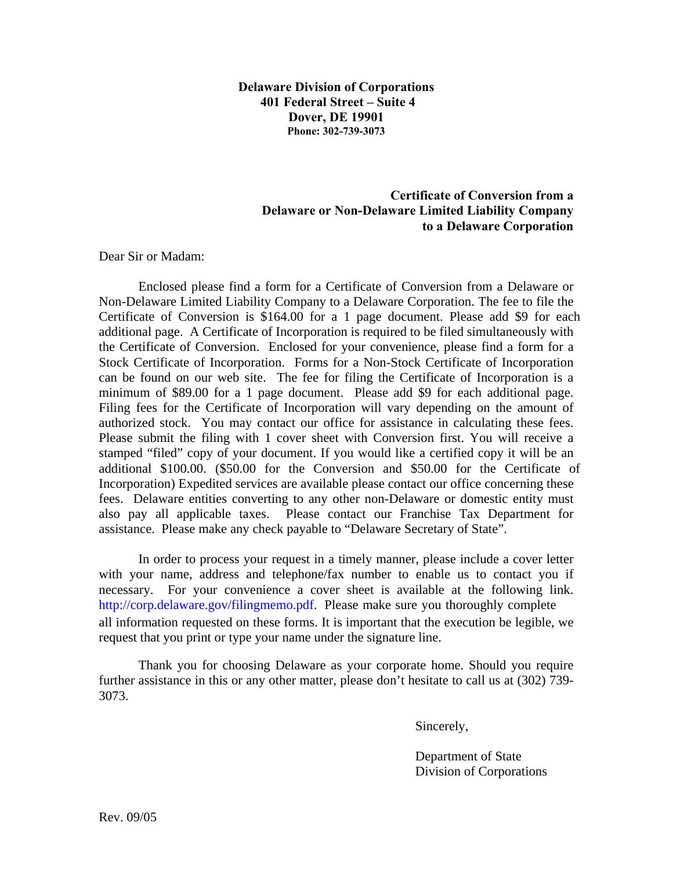**Delaware Division of Corporations 401 Federal Street – Suite 4 Dover, DE 19901 Phone: 302-739-3073**

## **Certificate of Conversion from a Delaware or Non-Delaware Limited Liability Company to a Delaware Corporation**

Dear Sir or Madam:

Enclosed please find a form for a Certificate of Conversion from a Delaware or Non-Delaware Limited Liability Company to a Delaware Corporation. The fee to file the Certificate of Conversion is \$164.00 for a 1 page document. Please add \$9 for each additional page. A Certificate of Incorporation is required to be filed simultaneously with the Certificate of Conversion. Enclosed for your convenience, please find a form for a Stock Certificate of Incorporation. Forms for a Non-Stock Certificate of Incorporation can be found on our web site. The fee for filing the Certificate of Incorporation is a minimum of \$89.00 for a 1 page document. Please add \$9 for each additional page. Filing fees for the Certificate of Incorporation will vary depending on the amount of authorized stock. You may contact our office for assistance in calculating these fees. Please submit the filing with 1 cover sheet with Conversion first. You will receive a stamped "filed" copy of your document. If you would like a certified copy it will be an additional \$100.00. (\$50.00 for the Conversion and \$50.00 for the Certificate of Incorporation) Expedited services are available please contact our office concerning these fees. Delaware entities converting to any other non-Delaware or domestic entity must also pay all applicable taxes. Please contact our Franchise Tax Department for assistance. Please make any check payable to "Delaware Secretary of State".

In order to process your request in a timely manner, please include a cover letter with your name, address and telephone/fax number to enable us to contact you if necessary. For your convenience a cover sheet is available at the following link. http://corp[.delaware.gov/f](http://corp.delaware.gov/filingmemo.pdf)ilingmemo.pdf. Please make sure you thoroughly complete all information requested on these forms. It is important that the execution be legible, we request that you print or type your name under the signature line.

Thank you for choosing Delaware as your corporate home. Should you require further assistance in this or any other matter, please don't hesitate to call us at (302) 739- 3073.

Sincerely,

Department of State Division of Corporations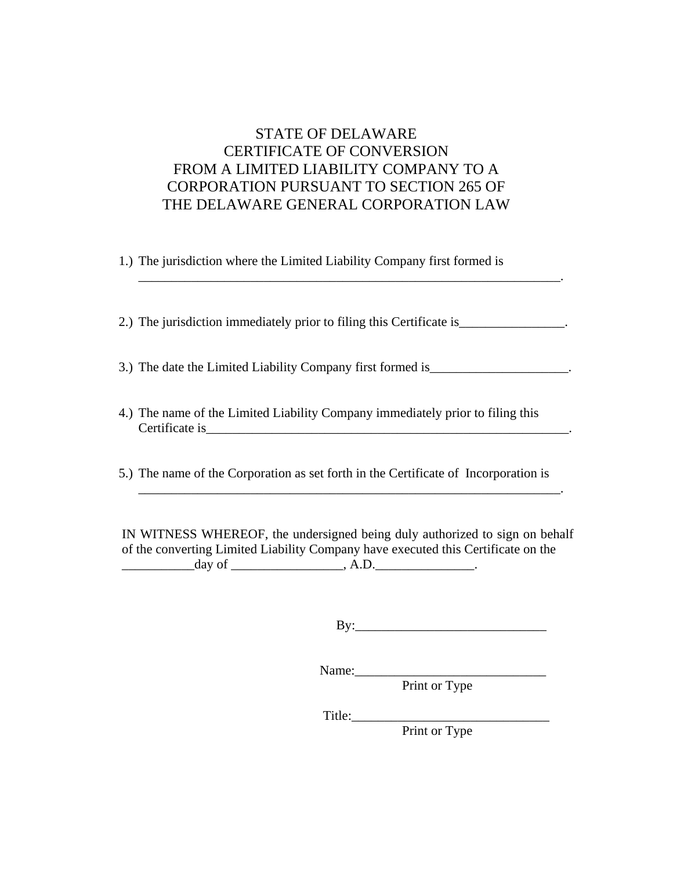## STATE OF DELAWARE CERTIFICATE OF CONVERSION FROM A LIMITED LIABILITY COMPANY TO A CORPORATION PURSUANT TO SECTION 265 OF THE DELAWARE GENERAL CORPORATION LAW

1.) The jurisdiction where the Limited Liability Company first formed is

2.) The jurisdiction immediately prior to filing this Certificate is\_\_\_\_\_\_\_\_\_\_\_\_\_\_.

3.) The date the Limited Liability Company first formed is\_\_\_\_\_\_\_\_\_\_\_\_\_\_\_\_\_\_\_\_\_\_.

\_\_\_\_\_\_\_\_\_\_\_\_\_\_\_\_\_\_\_\_\_\_\_\_\_\_\_\_\_\_\_\_\_\_\_\_\_\_\_\_\_\_\_\_\_\_\_\_\_\_\_\_\_\_\_\_\_\_\_\_\_\_\_\_.

4.) The name of the Limited Liability Company immediately prior to filing this  $\text{Certificance is} \underline{\hspace{2cm}}$ 

5.) The name of the Corporation as set forth in the Certificate of Incorporation is

IN WITNESS WHEREOF, the undersigned being duly authorized to sign on behalf of the converting Limited Liability Company have executed this Certificate on the  $\frac{day}{x}$  of \_\_\_\_\_\_\_\_\_\_\_\_\_\_\_\_\_, A.D.

\_\_\_\_\_\_\_\_\_\_\_\_\_\_\_\_\_\_\_\_\_\_\_\_\_\_\_\_\_\_\_\_\_\_\_\_\_\_\_\_\_\_\_\_\_\_\_\_\_\_\_\_\_\_\_\_\_\_\_\_\_\_\_\_.

By:\_\_\_\_\_\_\_\_\_\_\_\_\_\_\_\_\_\_\_\_\_\_\_\_\_\_\_\_\_

Name: \_\_\_\_\_\_\_\_\_\_\_\_\_\_\_\_\_\_\_\_\_\_\_\_\_\_\_\_\_

Print or Type

Title:\_\_\_\_\_\_\_\_\_\_\_\_\_\_\_\_\_\_\_\_\_\_\_\_\_\_\_\_\_\_

Print or Type